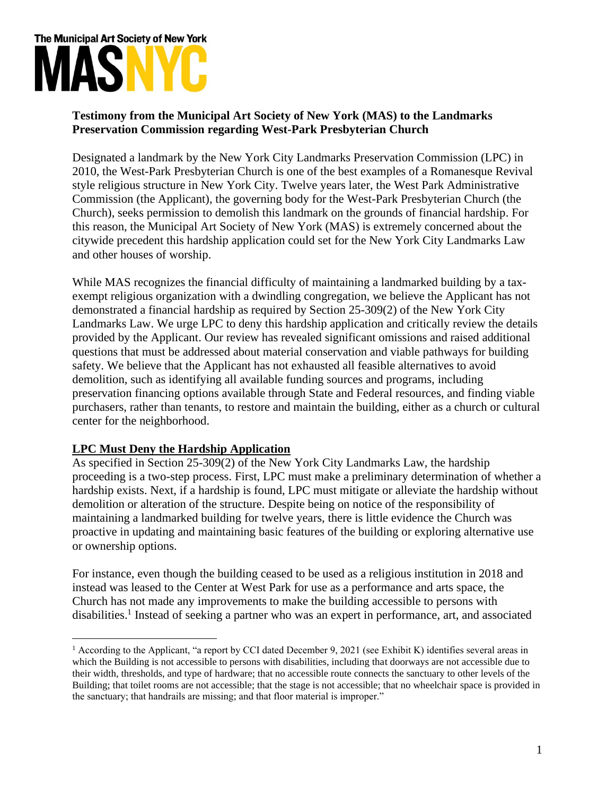# The Municipal Art Society of New York

# **Testimony from the Municipal Art Society of New York (MAS) to the Landmarks Preservation Commission regarding West-Park Presbyterian Church**

Designated a landmark by the New York City Landmarks Preservation Commission (LPC) in 2010, the West-Park Presbyterian Church is one of the best examples of a Romanesque Revival style religious structure in New York City. Twelve years later, the West Park Administrative Commission (the Applicant), the governing body for the West-Park Presbyterian Church (the Church), seeks permission to demolish this landmark on the grounds of financial hardship. For this reason, the Municipal Art Society of New York (MAS) is extremely concerned about the citywide precedent this hardship application could set for the New York City Landmarks Law and other houses of worship.

While MAS recognizes the financial difficulty of maintaining a landmarked building by a taxexempt religious organization with a dwindling congregation, we believe the Applicant has not demonstrated a financial hardship as required by Section 25-309(2) of the New York City Landmarks Law. We urge LPC to deny this hardship application and critically review the details provided by the Applicant. Our review has revealed significant omissions and raised additional questions that must be addressed about material conservation and viable pathways for building safety. We believe that the Applicant has not exhausted all feasible alternatives to avoid demolition, such as identifying all available funding sources and programs, including preservation financing options available through State and Federal resources, and finding viable purchasers, rather than tenants, to restore and maintain the building, either as a church or cultural center for the neighborhood.

## **LPC Must Deny the Hardship Application**

As specified in Section 25-309(2) of the New York City Landmarks Law, the hardship proceeding is a two-step process. First, LPC must make a preliminary determination of whether a hardship exists. Next, if a hardship is found, LPC must mitigate or alleviate the hardship without demolition or alteration of the structure. Despite being on notice of the responsibility of maintaining a landmarked building for twelve years, there is little evidence the Church was proactive in updating and maintaining basic features of the building or exploring alternative use or ownership options.

For instance, even though the building ceased to be used as a religious institution in 2018 and instead was leased to the Center at West Park for use as a performance and arts space, the Church has not made any improvements to make the building accessible to persons with disabilities.<sup>1</sup> Instead of seeking a partner who was an expert in performance, art, and associated

<sup>&</sup>lt;sup>1</sup> According to the Applicant, "a report by CCI dated December 9, 2021 (see Exhibit K) identifies several areas in which the Building is not accessible to persons with disabilities, including that doorways are not accessible due to their width, thresholds, and type of hardware; that no accessible route connects the sanctuary to other levels of the Building; that toilet rooms are not accessible; that the stage is not accessible; that no wheelchair space is provided in the sanctuary; that handrails are missing; and that floor material is improper."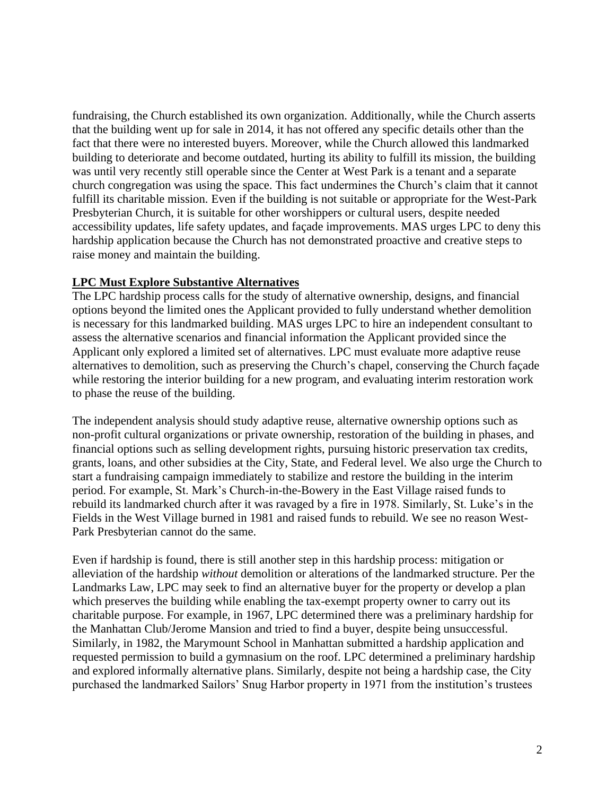fundraising, the Church established its own organization. Additionally, while the Church asserts that the building went up for sale in 2014, it has not offered any specific details other than the fact that there were no interested buyers. Moreover, while the Church allowed this landmarked building to deteriorate and become outdated, hurting its ability to fulfill its mission, the building was until very recently still operable since the Center at West Park is a tenant and a separate church congregation was using the space. This fact undermines the Church's claim that it cannot fulfill its charitable mission. Even if the building is not suitable or appropriate for the West-Park Presbyterian Church, it is suitable for other worshippers or cultural users, despite needed accessibility updates, life safety updates, and façade improvements. MAS urges LPC to deny this hardship application because the Church has not demonstrated proactive and creative steps to raise money and maintain the building.

#### **LPC Must Explore Substantive Alternatives**

The LPC hardship process calls for the study of alternative ownership, designs, and financial options beyond the limited ones the Applicant provided to fully understand whether demolition is necessary for this landmarked building. MAS urges LPC to hire an independent consultant to assess the alternative scenarios and financial information the Applicant provided since the Applicant only explored a limited set of alternatives. LPC must evaluate more adaptive reuse alternatives to demolition, such as preserving the Church's chapel, conserving the Church façade while restoring the interior building for a new program, and evaluating interim restoration work to phase the reuse of the building.

The independent analysis should study adaptive reuse, alternative ownership options such as non-profit cultural organizations or private ownership, restoration of the building in phases, and financial options such as selling development rights, pursuing historic preservation tax credits, grants, loans, and other subsidies at the City, State, and Federal level. We also urge the Church to start a fundraising campaign immediately to stabilize and restore the building in the interim period. For example, St. Mark's Church-in-the-Bowery in the East Village raised funds to rebuild its landmarked church after it was ravaged by a fire in 1978. Similarly, St. Luke's in the Fields in the West Village burned in 1981 and raised funds to rebuild. We see no reason West-Park Presbyterian cannot do the same.

Even if hardship is found, there is still another step in this hardship process: mitigation or alleviation of the hardship *without* demolition or alterations of the landmarked structure. Per the Landmarks Law, LPC may seek to find an alternative buyer for the property or develop a plan which preserves the building while enabling the tax-exempt property owner to carry out its charitable purpose. For example, in 1967, LPC determined there was a preliminary hardship for the Manhattan Club/Jerome Mansion and tried to find a buyer, despite being unsuccessful. Similarly, in 1982, the Marymount School in Manhattan submitted a hardship application and requested permission to build a gymnasium on the roof. LPC determined a preliminary hardship and explored informally alternative plans. Similarly, despite not being a hardship case, the City purchased the landmarked Sailors' Snug Harbor property in 1971 from the institution's trustees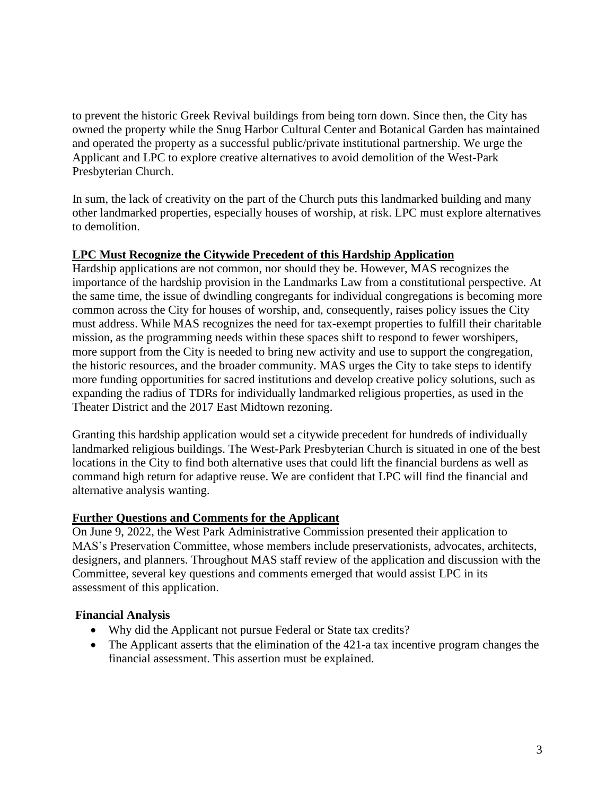to prevent the historic Greek Revival buildings from being torn down. Since then, the City has owned the property while the Snug Harbor Cultural Center and Botanical Garden has maintained and operated the property as a successful public/private institutional partnership. We urge the Applicant and LPC to explore creative alternatives to avoid demolition of the West-Park Presbyterian Church.

In sum, the lack of creativity on the part of the Church puts this landmarked building and many other landmarked properties, especially houses of worship, at risk. LPC must explore alternatives to demolition.

## **LPC Must Recognize the Citywide Precedent of this Hardship Application**

Hardship applications are not common, nor should they be. However, MAS recognizes the importance of the hardship provision in the Landmarks Law from a constitutional perspective. At the same time, the issue of dwindling congregants for individual congregations is becoming more common across the City for houses of worship, and, consequently, raises policy issues the City must address. While MAS recognizes the need for tax-exempt properties to fulfill their charitable mission, as the programming needs within these spaces shift to respond to fewer worshipers, more support from the City is needed to bring new activity and use to support the congregation, the historic resources, and the broader community. MAS urges the City to take steps to identify more funding opportunities for sacred institutions and develop creative policy solutions, such as expanding the radius of TDRs for individually landmarked religious properties, as used in the Theater District and the 2017 East Midtown rezoning.

Granting this hardship application would set a citywide precedent for hundreds of individually landmarked religious buildings. The West-Park Presbyterian Church is situated in one of the best locations in the City to find both alternative uses that could lift the financial burdens as well as command high return for adaptive reuse. We are confident that LPC will find the financial and alternative analysis wanting.

#### **Further Questions and Comments for the Applicant**

On June 9, 2022, the West Park Administrative Commission presented their application to MAS's Preservation Committee, whose members include preservationists, advocates, architects, designers, and planners. Throughout MAS staff review of the application and discussion with the Committee, several key questions and comments emerged that would assist LPC in its assessment of this application.

#### **Financial Analysis**

- Why did the Applicant not pursue Federal or State tax credits?
- The Applicant asserts that the elimination of the 421-a tax incentive program changes the financial assessment. This assertion must be explained.